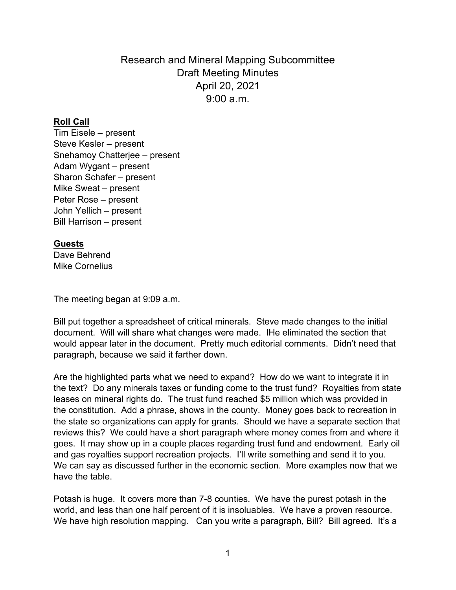Research and Mineral Mapping Subcommittee Draft Meeting Minutes April 20, 2021 9:00 a.m.

## **Roll Call**

Tim Eisele – present Steve Kesler – present Snehamoy Chatterjee – present Adam Wygant – present Sharon Schafer – present Mike Sweat – present Peter Rose – present John Yellich – present Bill Harrison – present

## **Guests**

Dave Behrend Mike Cornelius

The meeting began at 9:09 a.m.

Bill put together a spreadsheet of critical minerals. Steve made changes to the initial document. Will will share what changes were made. IHe eliminated the section that would appear later in the document. Pretty much editorial comments. Didn't need that paragraph, because we said it farther down.

Are the highlighted parts what we need to expand? How do we want to integrate it in the text? Do any minerals taxes or funding come to the trust fund? Royalties from state leases on mineral rights do. The trust fund reached \$5 million which was provided in the constitution. Add a phrase, shows in the county. Money goes back to recreation in the state so organizations can apply for grants. Should we have a separate section that reviews this? We could have a short paragraph where money comes from and where it goes. It may show up in a couple places regarding trust fund and endowment. Early oil and gas royalties support recreation projects. I'll write something and send it to you. We can say as discussed further in the economic section. More examples now that we have the table.

Potash is huge. It covers more than 7-8 counties. We have the purest potash in the world, and less than one half percent of it is insoluables. We have a proven resource. We have high resolution mapping. Can you write a paragraph, Bill? Bill agreed. It's a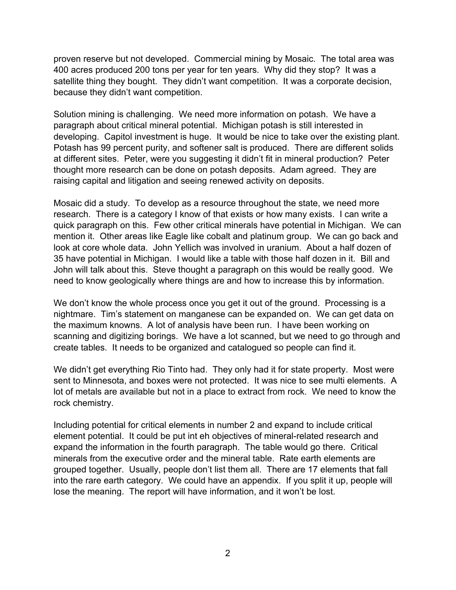proven reserve but not developed. Commercial mining by Mosaic. The total area was 400 acres produced 200 tons per year for ten years. Why did they stop? It was a satellite thing they bought. They didn't want competition. It was a corporate decision, because they didn't want competition.

Solution mining is challenging. We need more information on potash. We have a paragraph about critical mineral potential. Michigan potash is still interested in developing. Capitol investment is huge. It would be nice to take over the existing plant. Potash has 99 percent purity, and softener salt is produced. There are different solids at different sites. Peter, were you suggesting it didn't fit in mineral production? Peter thought more research can be done on potash deposits. Adam agreed. They are raising capital and litigation and seeing renewed activity on deposits.

Mosaic did a study. To develop as a resource throughout the state, we need more research. There is a category I know of that exists or how many exists. I can write a quick paragraph on this. Few other critical minerals have potential in Michigan. We can mention it. Other areas like Eagle like cobalt and platinum group. We can go back and look at core whole data. John Yellich was involved in uranium. About a half dozen of 35 have potential in Michigan. I would like a table with those half dozen in it. Bill and John will talk about this. Steve thought a paragraph on this would be really good. We need to know geologically where things are and how to increase this by information.

We don't know the whole process once you get it out of the ground. Processing is a nightmare. Tim's statement on manganese can be expanded on. We can get data on the maximum knowns. A lot of analysis have been run. I have been working on scanning and digitizing borings. We have a lot scanned, but we need to go through and create tables. It needs to be organized and catalogued so people can find it.

We didn't get everything Rio Tinto had. They only had it for state property. Most were sent to Minnesota, and boxes were not protected. It was nice to see multi elements. A lot of metals are available but not in a place to extract from rock. We need to know the rock chemistry.

Including potential for critical elements in number 2 and expand to include critical element potential. It could be put int eh objectives of mineral-related research and expand the information in the fourth paragraph. The table would go there. Critical minerals from the executive order and the mineral table. Rate earth elements are grouped together. Usually, people don't list them all. There are 17 elements that fall into the rare earth category. We could have an appendix. If you split it up, people will lose the meaning. The report will have information, and it won't be lost.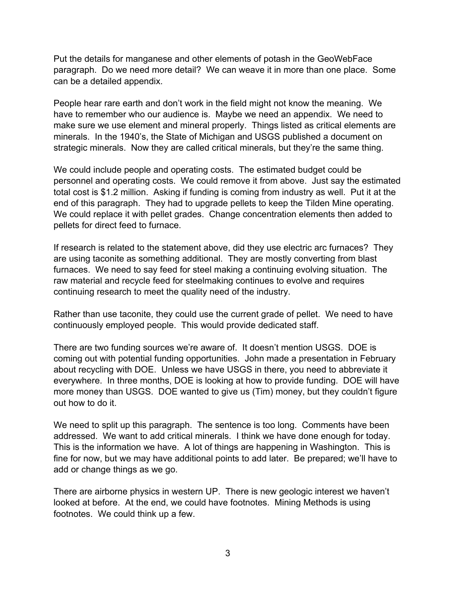Put the details for manganese and other elements of potash in the GeoWebFace paragraph. Do we need more detail? We can weave it in more than one place. Some can be a detailed appendix.

People hear rare earth and don't work in the field might not know the meaning. We have to remember who our audience is. Maybe we need an appendix. We need to make sure we use element and mineral properly. Things listed as critical elements are minerals. In the 1940's, the State of Michigan and USGS published a document on strategic minerals. Now they are called critical minerals, but they're the same thing.

We could include people and operating costs. The estimated budget could be personnel and operating costs. We could remove it from above. Just say the estimated total cost is \$1.2 million. Asking if funding is coming from industry as well. Put it at the end of this paragraph. They had to upgrade pellets to keep the Tilden Mine operating. We could replace it with pellet grades. Change concentration elements then added to pellets for direct feed to furnace.

If research is related to the statement above, did they use electric arc furnaces? They are using taconite as something additional. They are mostly converting from blast furnaces. We need to say feed for steel making a continuing evolving situation. The raw material and recycle feed for steelmaking continues to evolve and requires continuing research to meet the quality need of the industry.

Rather than use taconite, they could use the current grade of pellet. We need to have continuously employed people. This would provide dedicated staff.

There are two funding sources we're aware of. It doesn't mention USGS. DOE is coming out with potential funding opportunities. John made a presentation in February about recycling with DOE. Unless we have USGS in there, you need to abbreviate it everywhere. In three months, DOE is looking at how to provide funding. DOE will have more money than USGS. DOE wanted to give us (Tim) money, but they couldn't figure out how to do it.

We need to split up this paragraph. The sentence is too long. Comments have been addressed. We want to add critical minerals. I think we have done enough for today. This is the information we have. A lot of things are happening in Washington. This is fine for now, but we may have additional points to add later. Be prepared; we'll have to add or change things as we go.

There are airborne physics in western UP. There is new geologic interest we haven't looked at before. At the end, we could have footnotes. Mining Methods is using footnotes. We could think up a few.